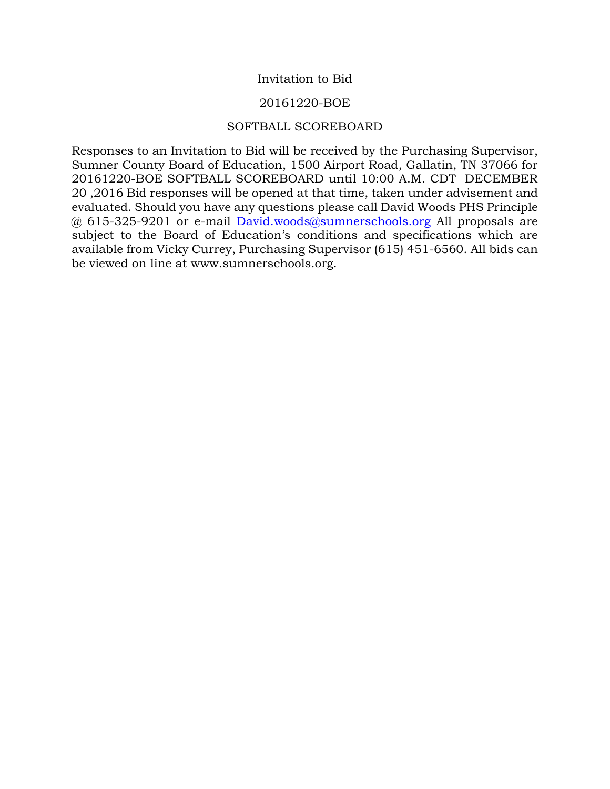# Invitation to Bid

## 20161220-BOE

## SOFTBALL SCOREBOARD

Responses to an Invitation to Bid will be received by the Purchasing Supervisor, Sumner County Board of Education, 1500 Airport Road, Gallatin, TN 37066 for 20161220-BOE SOFTBALL SCOREBOARD until 10:00 A.M. CDT DECEMBER 20 ,2016 Bid responses will be opened at that time, taken under advisement and evaluated. Should you have any questions please call David Woods PHS Principle @ 615-325-9201 or e-mail [David.woods@sumnerschools.org](mailto:David.woods@sumnerschools.org) All proposals are subject to the Board of Education's conditions and specifications which are available from Vicky Currey, Purchasing Supervisor (615) 451-6560. All bids can be viewed on line at www.sumnerschools.org.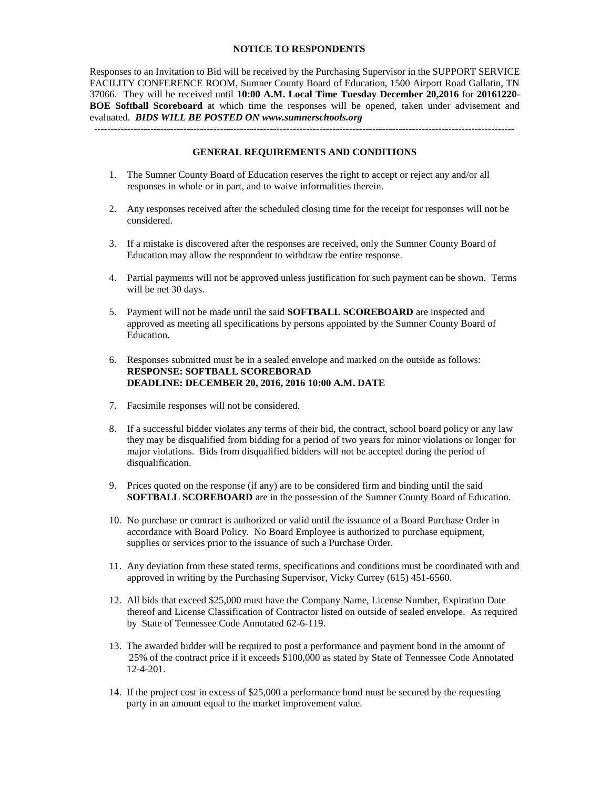#### **NOTICE TO RESPONDENTS**

Responses to an Invitation to Bid will be received by the Purchasing Supervisor in the SUPPORT SERVICE FACILITY CONFERENCE ROOM, Sumner County Board of Education, 1500 Airport Road Gallatin, TN 37066. They will be received until **10:00 A.M. Local Time Tuesday December 20,2016** for **20161220- BOE Softball Scoreboard** at which time the responses will be opened, taken under advisement and evaluated. *BIDS WILL BE POSTED ON www.sumnerschools.org*

**GENERAL REQUIREMENTS AND CONDITIONS**

-------------------------------------------------------------------------------------------------------------------------------

- 1. The Sumner County Board of Education reserves the right to accept or reject any and/or all responses in whole or in part, and to waive informalities therein.
- 2. Any responses received after the scheduled closing time for the receipt for responses will not be considered.
- 3. If a mistake is discovered after the responses are received, only the Sumner County Board of Education may allow the respondent to withdraw the entire response.
- 4. Partial payments will not be approved unless justification for such payment can be shown. Terms will be net 30 days.
- 5. Payment will not be made until the said **SOFTBALL SCOREBOARD** are inspected and approved as meeting all specifications by persons appointed by the Sumner County Board of Education.
- 6. Responses submitted must be in a sealed envelope and marked on the outside as follows: **RESPONSE: SOFTBALL SCOREBORAD DEADLINE: DECEMBER 20, 2016, 2016 10:00 A.M. DATE**
- 7. Facsimile responses will not be considered.
- 8. If a successful bidder violates any terms of their bid, the contract, school board policy or any law they may be disqualified from bidding for a period of two years for minor violations or longer for major violations. Bids from disqualified bidders will not be accepted during the period of disqualification.
- 9. Prices quoted on the response (if any) are to be considered firm and binding until the said **SOFTBALL SCOREBOARD** are in the possession of the Sumner County Board of Education.
- 10. No purchase or contract is authorized or valid until the issuance of a Board Purchase Order in accordance with Board Policy. No Board Employee is authorized to purchase equipment, supplies or services prior to the issuance of such a Purchase Order.
- 11. Any deviation from these stated terms, specifications and conditions must be coordinated with and approved in writing by the Purchasing Supervisor, Vicky Currey (615) 451-6560.
- 12. All bids that exceed \$25,000 must have the Company Name, License Number, Expiration Date thereof and License Classification of Contractor listed on outside of sealed envelope. As required by State of Tennessee Code Annotated 62-6-119.
- 13. The awarded bidder will be required to post a performance and payment bond in the amount of 25% of the contract price if it exceeds \$100,000 as stated by State of Tennessee Code Annotated 12-4-201.
- 14. If the project cost in excess of \$25,000 a performance bond must be secured by the requesting party in an amount equal to the market improvement value.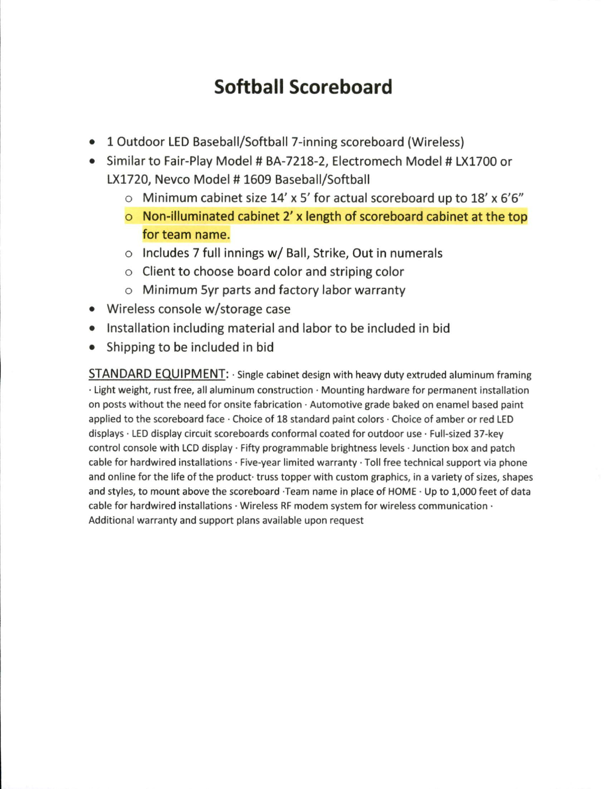# Softball Scoreboard

- 1 Outdoor LED Baseball/Softball 7-inning scoreboard (Wireless)
- Similar to Fair-Play Model # BA-7218-2, Electromech Model # LX1700 or LX1720, Nevco Model #1609 Baseball/Softball
	- $\circ$  Minimum cabinet size 14' x 5' for actual scoreboard up to 18' x 6'6"
	- $\circ$  Non-illuminated cabinet 2' x length of scoreboard cabinet at the top for team name.
	- $\circ$  Includes 7 full innings w/ Ball, Strike, Out in numerals
	- o Client to choose board color and striping color
	- $\circ$  Minimum 5yr parts and factory labor warranty
- Wireless console w/storage case
- Installation including material and labor to be included in bid
- Shipping to be included in bid

**STANDARD EQUIPMENT:** Single cabinet design with heavy duty extruded aluminum framing · Light weight, rust free, all aluminum construction · Mounting hardware for permanent installation on posts without the need for onsite fabrication · Automotive grade baked on enamel based paint applied to the scoreboard face · Choice of 18 standard paint colors · Choice of amber or red LED displays · LED display circuit scoreboards conformal coated for outdoor use · Full-sized 37-key control console with LCD display · Fifty programmable brightness levels · Junction box and patch cable for hardwired installations · Five-year limited warranty · Toll free technical support via phone and online for the life of the product truss topper with custom graphics, in a variety of sizes, shapes and styles, to mount above the scoreboard Team name in place of HOME · Up to 1,000 feet of data cable for hardwired installations  $\cdot$  Wireless RF modem system for wireless communication  $\cdot$ Additional warranty and support plans available upon request